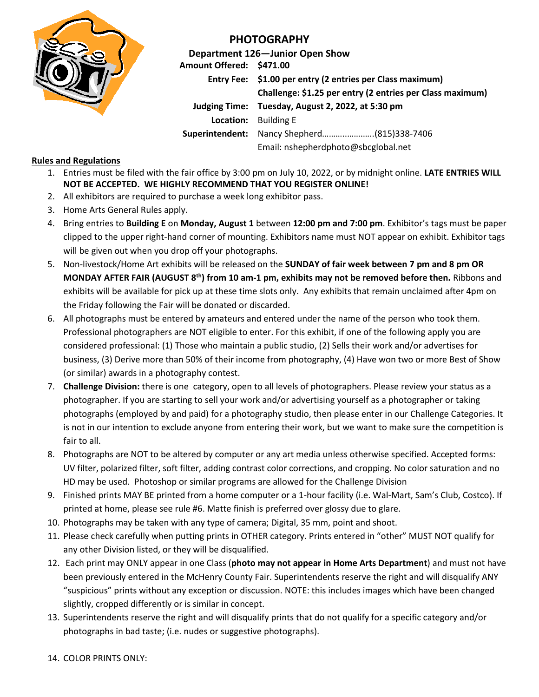

## **PHOTOGRAPHY**

**Department 126—Junior Open Show Amount Offered: \$471.00 Entry Fee: \$1.00 per entry (2 entries per Class maximum) Challenge: \$1.25 per entry (2 entries per Class maximum) Judging Time: Tuesday, August 2, 2022, at 5:30 pm Location:** Building E **Superintendent:** Nancy Shepherd………..…….…..(815)338-7406 Email: nshepherdphoto@sbcglobal.net

## **Rules and Regulations**

- 1. Entries must be filed with the fair office by 3:00 pm on July 10, 2022, or by midnight online. **LATE ENTRIES WILL NOT BE ACCEPTED. WE HIGHLY RECOMMEND THAT YOU REGISTER ONLINE!**
- 2. All exhibitors are required to purchase a week long exhibitor pass.
- 3. Home Arts General Rules apply.
- 4. Bring entries to **Building E** on **Monday, August 1** between **12:00 pm and 7:00 pm**. Exhibitor's tags must be paper clipped to the upper right-hand corner of mounting. Exhibitors name must NOT appear on exhibit. Exhibitor tags will be given out when you drop off your photographs.
- 5. Non-livestock/Home Art exhibits will be released on the **SUNDAY of fair week between 7 pm and 8 pm OR MONDAY AFTER FAIR (AUGUST 8 th) from 10 am-1 pm, exhibits may not be removed before then.** Ribbons and exhibits will be available for pick up at these time slots only. Any exhibits that remain unclaimed after 4pm on the Friday following the Fair will be donated or discarded.
- 6. All photographs must be entered by amateurs and entered under the name of the person who took them. Professional photographers are NOT eligible to enter. For this exhibit, if one of the following apply you are considered professional: (1) Those who maintain a public studio, (2) Sells their work and/or advertises for business, (3) Derive more than 50% of their income from photography, (4) Have won two or more Best of Show (or similar) awards in a photography contest.
- 7. **Challenge Division:** there is one category, open to all levels of photographers. Please review your status as a photographer. If you are starting to sell your work and/or advertising yourself as a photographer or taking photographs (employed by and paid) for a photography studio, then please enter in our Challenge Categories. It is not in our intention to exclude anyone from entering their work, but we want to make sure the competition is fair to all.
- 8. Photographs are NOT to be altered by computer or any art media unless otherwise specified. Accepted forms: UV filter, polarized filter, soft filter, adding contrast color corrections, and cropping. No color saturation and no HD may be used. Photoshop or similar programs are allowed for the Challenge Division
- 9. Finished prints MAY BE printed from a home computer or a 1-hour facility (i.e. Wal-Mart, Sam's Club, Costco). If printed at home, please see rule #6. Matte finish is preferred over glossy due to glare.
- 10. Photographs may be taken with any type of camera; Digital, 35 mm, point and shoot.
- 11. Please check carefully when putting prints in OTHER category. Prints entered in "other" MUST NOT qualify for any other Division listed, or they will be disqualified.
- 12. Each print may ONLY appear in one Class (**photo may not appear in Home Arts Department**) and must not have been previously entered in the McHenry County Fair. Superintendents reserve the right and will disqualify ANY "suspicious" prints without any exception or discussion. NOTE: this includes images which have been changed slightly, cropped differently or is similar in concept.
- 13. Superintendents reserve the right and will disqualify prints that do not qualify for a specific category and/or photographs in bad taste; (i.e. nudes or suggestive photographs).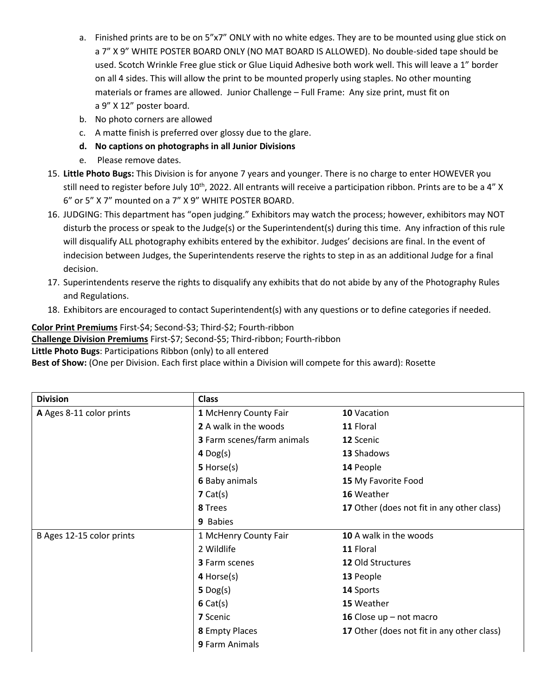- a. Finished prints are to be on 5"x7" ONLY with no white edges. They are to be mounted using glue stick on a 7" X 9" WHITE POSTER BOARD ONLY (NO MAT BOARD IS ALLOWED). No double-sided tape should be used. Scotch Wrinkle Free glue stick or Glue Liquid Adhesive both work well. This will leave a 1" border on all 4 sides. This will allow the print to be mounted properly using staples. No other mounting materials or frames are allowed. Junior Challenge – Full Frame: Any size print, must fit on a 9" X 12" poster board.
- b. No photo corners are allowed
- c. A matte finish is preferred over glossy due to the glare.
- **d. No captions on photographs in all Junior Divisions**
- e. Please remove dates.
- 15. **Little Photo Bugs:** This Division is for anyone 7 years and younger. There is no charge to enter HOWEVER you still need to register before July 10<sup>th</sup>, 2022. All entrants will receive a participation ribbon. Prints are to be a 4" X 6" or 5" X 7" mounted on a 7" X 9" WHITE POSTER BOARD.
- 16. JUDGING: This department has "open judging." Exhibitors may watch the process; however, exhibitors may NOT disturb the process or speak to the Judge(s) or the Superintendent(s) during this time. Any infraction of this rule will disqualify ALL photography exhibits entered by the exhibitor. Judges' decisions are final. In the event of indecision between Judges, the Superintendents reserve the rights to step in as an additional Judge for a final decision.
- 17. Superintendents reserve the rights to disqualify any exhibits that do not abide by any of the Photography Rules and Regulations.
- 18. Exhibitors are encouraged to contact Superintendent(s) with any questions or to define categories if needed.

## **Color Print Premiums** First-\$4; Second-\$3; Third-\$2; Fourth-ribbon

**Challenge Division Premiums** First-\$7; Second-\$5; Third-ribbon; Fourth-ribbon

**Little Photo Bugs**: Participations Ribbon (only) to all entered

**Best of Show:** (One per Division. Each first place within a Division will compete for this award): Rosette

| <b>Division</b>           | <b>Class</b>                 |                                            |  |
|---------------------------|------------------------------|--------------------------------------------|--|
| A Ages 8-11 color prints  | 1 McHenry County Fair        | 10 Vacation                                |  |
|                           | <b>2</b> A walk in the woods | 11 Floral                                  |  |
|                           | 3 Farm scenes/farm animals   | 12 Scenic                                  |  |
|                           | $4$ Dog(s)                   | 13 Shadows                                 |  |
|                           | 5 Horse(s)                   | 14 People                                  |  |
|                           | <b>6 Baby animals</b>        | 15 My Favorite Food                        |  |
|                           | 7 Cat(s)                     | 16 Weather                                 |  |
|                           | 8 Trees                      | 17 Other (does not fit in any other class) |  |
|                           | 9 Babies                     |                                            |  |
| B Ages 12-15 color prints | 1 McHenry County Fair        | 10 A walk in the woods                     |  |
|                           | 2 Wildlife                   | 11 Floral                                  |  |
|                           | 3 Farm scenes                | <b>12 Old Structures</b>                   |  |
|                           | 4 Horse(s)                   | 13 People                                  |  |
|                           | $5$ Dog(s)                   | 14 Sports                                  |  |
|                           | 6 Cat(s)                     | 15 Weather                                 |  |
|                           | <b>7</b> Scenic              | 16 Close $up$ – not macro                  |  |
|                           | 8 Empty Places               | 17 Other (does not fit in any other class) |  |
|                           | 9 Farm Animals               |                                            |  |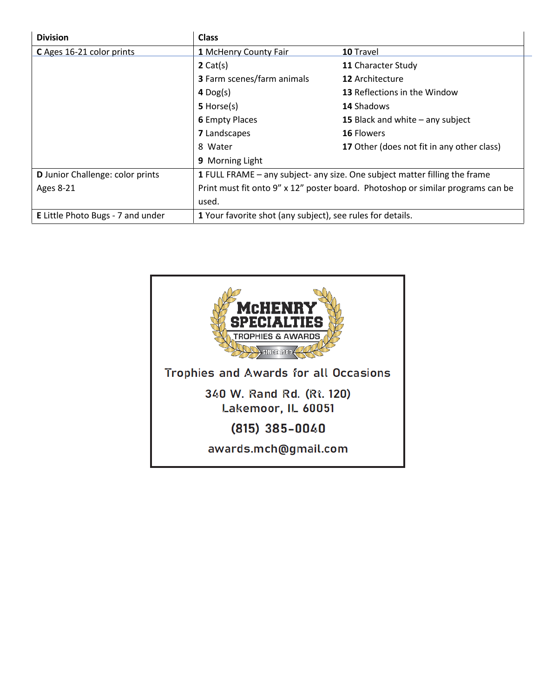| <b>Division</b>                          | <b>Class</b>                                                                    |                                            |  |  |
|------------------------------------------|---------------------------------------------------------------------------------|--------------------------------------------|--|--|
| C Ages 16-21 color prints                | 1 McHenry County Fair                                                           | 10 Travel                                  |  |  |
|                                          | 2 Cat(s)                                                                        | 11 Character Study                         |  |  |
|                                          | <b>3</b> Farm scenes/farm animals                                               | 12 Architecture                            |  |  |
|                                          | $4$ Dog(s)                                                                      | <b>13 Reflections in the Window</b>        |  |  |
|                                          | 5 Horse(s)                                                                      | <b>14 Shadows</b>                          |  |  |
|                                          | <b>6 Empty Places</b>                                                           | 15 Black and white $-$ any subject         |  |  |
|                                          | <b>7</b> Landscapes                                                             | <b>16 Flowers</b>                          |  |  |
|                                          | 8 Water                                                                         | 17 Other (does not fit in any other class) |  |  |
|                                          | 9 Morning Light                                                                 |                                            |  |  |
| <b>D</b> Junior Challenge: color prints  | 1 FULL FRAME - any subject- any size. One subject matter filling the frame      |                                            |  |  |
| <b>Ages 8-21</b>                         | Print must fit onto 9" x 12" poster board. Photoshop or similar programs can be |                                            |  |  |
|                                          | used.                                                                           |                                            |  |  |
| <b>E</b> Little Photo Bugs - 7 and under | 1 Your favorite shot (any subject), see rules for details.                      |                                            |  |  |